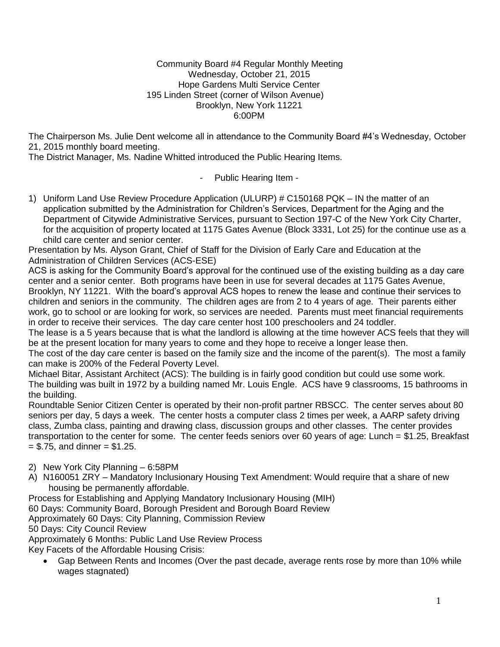#### Community Board #4 Regular Monthly Meeting Wednesday, October 21, 2015 Hope Gardens Multi Service Center 195 Linden Street (corner of Wilson Avenue) Brooklyn, New York 11221 6:00PM

The Chairperson Ms. Julie Dent welcome all in attendance to the Community Board #4's Wednesday, October 21, 2015 monthly board meeting.

The District Manager, Ms. Nadine Whitted introduced the Public Hearing Items.

- Public Hearing Item -

1) Uniform Land Use Review Procedure Application (ULURP) # C150168 PQK – IN the matter of an application submitted by the Administration for Children's Services, Department for the Aging and the Department of Citywide Administrative Services, pursuant to Section 197-C of the New York City Charter, for the acquisition of property located at 1175 Gates Avenue (Block 3331, Lot 25) for the continue use as a child care center and senior center.

Presentation by Ms. Alyson Grant, Chief of Staff for the Division of Early Care and Education at the Administration of Children Services (ACS-ESE)

ACS is asking for the Community Board's approval for the continued use of the existing building as a day care center and a senior center. Both programs have been in use for several decades at 1175 Gates Avenue, Brooklyn, NY 11221. With the board's approval ACS hopes to renew the lease and continue their services to children and seniors in the community. The children ages are from 2 to 4 years of age. Their parents either work, go to school or are looking for work, so services are needed. Parents must meet financial requirements in order to receive their services. The day care center host 100 preschoolers and 24 toddler.

The lease is a 5 years because that is what the landlord is allowing at the time however ACS feels that they will be at the present location for many years to come and they hope to receive a longer lease then.

The cost of the day care center is based on the family size and the income of the parent(s). The most a family can make is 200% of the Federal Poverty Level.

Michael Bitar, Assistant Architect (ACS): The building is in fairly good condition but could use some work. The building was built in 1972 by a building named Mr. Louis Engle. ACS have 9 classrooms, 15 bathrooms in the building.

Roundtable Senior Citizen Center is operated by their non-profit partner RBSCC. The center serves about 80 seniors per day, 5 days a week. The center hosts a computer class 2 times per week, a AARP safety driving class, Zumba class, painting and drawing class, discussion groups and other classes. The center provides transportation to the center for some. The center feeds seniors over 60 years of age: Lunch = \$1.25, Breakfast  $=$  \$.75, and dinner  $=$  \$1.25.

2) New York City Planning – 6:58PM

A) N160051 ZRY – Mandatory Inclusionary Housing Text Amendment: Would require that a share of new housing be permanently affordable.

Process for Establishing and Applying Mandatory Inclusionary Housing (MIH)

60 Days: Community Board, Borough President and Borough Board Review

Approximately 60 Days: City Planning, Commission Review

50 Days: City Council Review

Approximately 6 Months: Public Land Use Review Process

Key Facets of the Affordable Housing Crisis:

 Gap Between Rents and Incomes (Over the past decade, average rents rose by more than 10% while wages stagnated)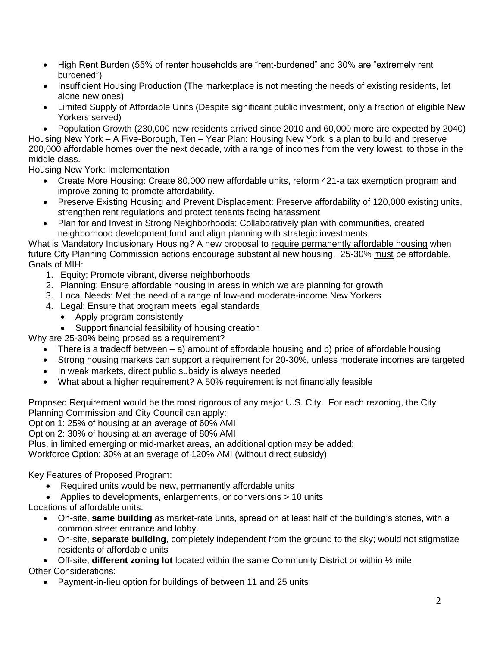- High Rent Burden (55% of renter households are "rent-burdened" and 30% are "extremely rent burdened")
- Insufficient Housing Production (The marketplace is not meeting the needs of existing residents, let alone new ones)
- Limited Supply of Affordable Units (Despite significant public investment, only a fraction of eligible New Yorkers served)
- Population Growth (230,000 new residents arrived since 2010 and 60,000 more are expected by 2040)

Housing New York – A Five-Borough, Ten – Year Plan: Housing New York is a plan to build and preserve 200,000 affordable homes over the next decade, with a range of incomes from the very lowest, to those in the middle class.

Housing New York: Implementation

- Create More Housing: Create 80,000 new affordable units, reform 421-a tax exemption program and improve zoning to promote affordability.
- Preserve Existing Housing and Prevent Displacement: Preserve affordability of 120,000 existing units, strengthen rent regulations and protect tenants facing harassment
- Plan for and Invest in Strong Neighborhoods: Collaboratively plan with communities, created neighborhood development fund and align planning with strategic investments

What is Mandatory Inclusionary Housing? A new proposal to require permanently affordable housing when future City Planning Commission actions encourage substantial new housing. 25-30% must be affordable. Goals of MIH:

- 1. Equity: Promote vibrant, diverse neighborhoods
- 2. Planning: Ensure affordable housing in areas in which we are planning for growth
- 3. Local Needs: Met the need of a range of low-and moderate-income New Yorkers
- 4. Legal: Ensure that program meets legal standards
	- Apply program consistently
	- Support financial feasibility of housing creation

Why are 25-30% being prosed as a requirement?

- There is a tradeoff between a) amount of affordable housing and b) price of affordable housing
- Strong housing markets can support a requirement for 20-30%, unless moderate incomes are targeted
- In weak markets, direct public subsidy is always needed
- What about a higher requirement? A 50% requirement is not financially feasible

Proposed Requirement would be the most rigorous of any major U.S. City. For each rezoning, the City Planning Commission and City Council can apply:

Option 1: 25% of housing at an average of 60% AMI

Option 2: 30% of housing at an average of 80% AMI

Plus, in limited emerging or mid-market areas, an additional option may be added:

Workforce Option: 30% at an average of 120% AMI (without direct subsidy)

Key Features of Proposed Program:

- Required units would be new, permanently affordable units
- Applies to developments, enlargements, or conversions > 10 units

Locations of affordable units:

- On-site, **same building** as market-rate units, spread on at least half of the building's stories, with a common street entrance and lobby.
- On-site, **separate building**, completely independent from the ground to the sky; would not stigmatize residents of affordable units
- Off-site, **different zoning lot** located within the same Community District or within ½ mile Other Considerations:
	- Payment-in-lieu option for buildings of between 11 and 25 units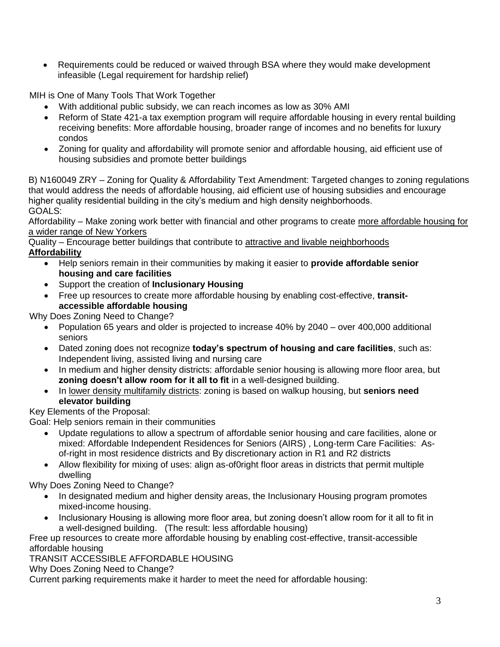• Requirements could be reduced or waived through BSA where they would make development infeasible (Legal requirement for hardship relief)

MIH is One of Many Tools That Work Together

- With additional public subsidy, we can reach incomes as low as 30% AMI
- Reform of State 421-a tax exemption program will require affordable housing in every rental building receiving benefits: More affordable housing, broader range of incomes and no benefits for luxury condos
- Zoning for quality and affordability will promote senior and affordable housing, aid efficient use of housing subsidies and promote better buildings

B) N160049 ZRY – Zoning for Quality & Affordability Text Amendment: Targeted changes to zoning regulations that would address the needs of affordable housing, aid efficient use of housing subsidies and encourage higher quality residential building in the city's medium and high density neighborhoods. GOALS:

Affordability – Make zoning work better with financial and other programs to create more affordable housing for a wider range of New Yorkers

Quality – Encourage better buildings that contribute to attractive and livable neighborhoods **Affordability**

- Help seniors remain in their communities by making it easier to **provide affordable senior housing and care facilities**
- Support the creation of **Inclusionary Housing**
- Free up resources to create more affordable housing by enabling cost-effective, **transitaccessible affordable housing**

Why Does Zoning Need to Change?

- Population 65 years and older is projected to increase 40% by 2040 over 400,000 additional seniors
- Dated zoning does not recognize **today's spectrum of housing and care facilities**, such as: Independent living, assisted living and nursing care
- In medium and higher density districts: affordable senior housing is allowing more floor area, but **zoning doesn't allow room for it all to fit** in a well-designed building.
- In lower density multifamily districts: zoning is based on walkup housing, but **seniors need elevator building**

# Key Elements of the Proposal:

Goal: Help seniors remain in their communities

- Update regulations to allow a spectrum of affordable senior housing and care facilities, alone or mixed: Affordable Independent Residences for Seniors (AIRS) , Long-term Care Facilities: Asof-right in most residence districts and By discretionary action in R1 and R2 districts
- Allow flexibility for mixing of uses: align as-of0right floor areas in districts that permit multiple dwelling

Why Does Zoning Need to Change?

- In designated medium and higher density areas, the Inclusionary Housing program promotes mixed-income housing.
- Inclusionary Housing is allowing more floor area, but zoning doesn't allow room for it all to fit in a well-designed building. (The result: less affordable housing)

Free up resources to create more affordable housing by enabling cost-effective, transit-accessible affordable housing

# TRANSIT ACCESSIBLE AFFORDABLE HOUSING

Why Does Zoning Need to Change?

Current parking requirements make it harder to meet the need for affordable housing: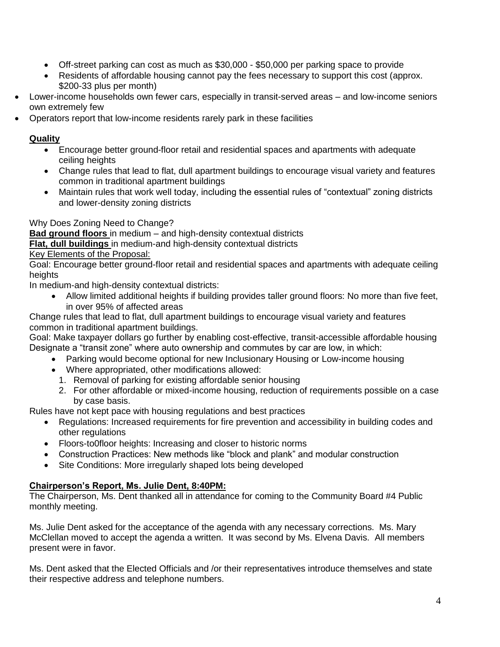- Off-street parking can cost as much as \$30,000 \$50,000 per parking space to provide
- Residents of affordable housing cannot pay the fees necessary to support this cost (approx. \$200-33 plus per month)
- Lower-income households own fewer cars, especially in transit-served areas and low-income seniors own extremely few
- Operators report that low-income residents rarely park in these facilities

# **Quality**

- Encourage better ground-floor retail and residential spaces and apartments with adequate ceiling heights
- Change rules that lead to flat, dull apartment buildings to encourage visual variety and features common in traditional apartment buildings
- Maintain rules that work well today, including the essential rules of "contextual" zoning districts and lower-density zoning districts

# Why Does Zoning Need to Change?

**Bad ground floors** in medium – and high-density contextual districts **Flat, dull buildings** in medium-and high-density contextual districts

Key Elements of the Proposal:

Goal: Encourage better ground-floor retail and residential spaces and apartments with adequate ceiling heights

In medium-and high-density contextual districts:

 Allow limited additional heights if building provides taller ground floors: No more than five feet, in over 95% of affected areas

Change rules that lead to flat, dull apartment buildings to encourage visual variety and features common in traditional apartment buildings.

Goal: Make taxpayer dollars go further by enabling cost-effective, transit-accessible affordable housing Designate a "transit zone" where auto ownership and commutes by car are low, in which:

- Parking would become optional for new Inclusionary Housing or Low-income housing
- Where appropriated, other modifications allowed:
	- 1. Removal of parking for existing affordable senior housing
	- 2. For other affordable or mixed-income housing, reduction of requirements possible on a case by case basis.

Rules have not kept pace with housing regulations and best practices

- Regulations: Increased requirements for fire prevention and accessibility in building codes and other regulations
- Floors-to0floor heights: Increasing and closer to historic norms
- Construction Practices: New methods like "block and plank" and modular construction
- Site Conditions: More irregularly shaped lots being developed

# **Chairperson's Report, Ms. Julie Dent, 8:40PM:**

The Chairperson, Ms. Dent thanked all in attendance for coming to the Community Board #4 Public monthly meeting.

Ms. Julie Dent asked for the acceptance of the agenda with any necessary corrections. Ms. Mary McClellan moved to accept the agenda a written. It was second by Ms. Elvena Davis. All members present were in favor.

Ms. Dent asked that the Elected Officials and /or their representatives introduce themselves and state their respective address and telephone numbers.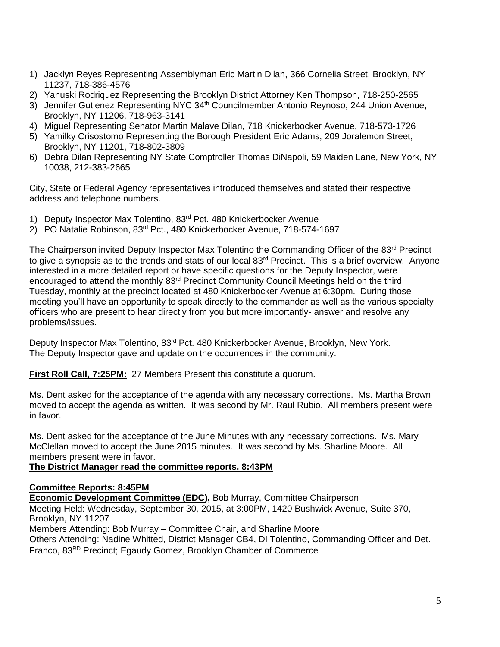- 1) Jacklyn Reyes Representing Assemblyman Eric Martin Dilan, 366 Cornelia Street, Brooklyn, NY 11237, 718-386-4576
- 2) Yanuski Rodriquez Representing the Brooklyn District Attorney Ken Thompson, 718-250-2565
- 3) Jennifer Gutienez Representing NYC 34<sup>th</sup> Councilmember Antonio Reynoso, 244 Union Avenue, Brooklyn, NY 11206, 718-963-3141
- 4) Miguel Representing Senator Martin Malave Dilan, 718 Knickerbocker Avenue, 718-573-1726
- 5) Yamilky Crisostomo Representing the Borough President Eric Adams, 209 Joralemon Street, Brooklyn, NY 11201, 718-802-3809
- 6) Debra Dilan Representing NY State Comptroller Thomas DiNapoli, 59 Maiden Lane, New York, NY 10038, 212-383-2665

City, State or Federal Agency representatives introduced themselves and stated their respective address and telephone numbers.

- 1) Deputy Inspector Max Tolentino, 83<sup>rd</sup> Pct. 480 Knickerbocker Avenue
- 2) PO Natalie Robinson, 83rd Pct., 480 Knickerbocker Avenue, 718-574-1697

The Chairperson invited Deputy Inspector Max Tolentino the Commanding Officer of the 83<sup>rd</sup> Precinct to give a synopsis as to the trends and stats of our local  $83<sup>rd</sup>$  Precinct. This is a brief overview. Anyone interested in a more detailed report or have specific questions for the Deputy Inspector, were encouraged to attend the monthly 83<sup>rd</sup> Precinct Community Council Meetings held on the third Tuesday, monthly at the precinct located at 480 Knickerbocker Avenue at 6:30pm. During those meeting you'll have an opportunity to speak directly to the commander as well as the various specialty officers who are present to hear directly from you but more importantly- answer and resolve any problems/issues.

Deputy Inspector Max Tolentino, 83<sup>rd</sup> Pct. 480 Knickerbocker Avenue, Brooklyn, New York. The Deputy Inspector gave and update on the occurrences in the community.

**First Roll Call, 7:25PM:** 27 Members Present this constitute a quorum.

Ms. Dent asked for the acceptance of the agenda with any necessary corrections. Ms. Martha Brown moved to accept the agenda as written. It was second by Mr. Raul Rubio. All members present were in favor.

Ms. Dent asked for the acceptance of the June Minutes with any necessary corrections. Ms. Mary McClellan moved to accept the June 2015 minutes. It was second by Ms. Sharline Moore. All members present were in favor.

#### **The District Manager read the committee reports, 8:43PM**

#### **Committee Reports: 8:45PM**

**Economic Development Committee (EDC),** Bob Murray, Committee Chairperson

Meeting Held: Wednesday, September 30, 2015, at 3:00PM, 1420 Bushwick Avenue, Suite 370, Brooklyn, NY 11207

Members Attending: Bob Murray – Committee Chair, and Sharline Moore

Others Attending: Nadine Whitted, District Manager CB4, DI Tolentino, Commanding Officer and Det. Franco, 83RD Precinct; Egaudy Gomez, Brooklyn Chamber of Commerce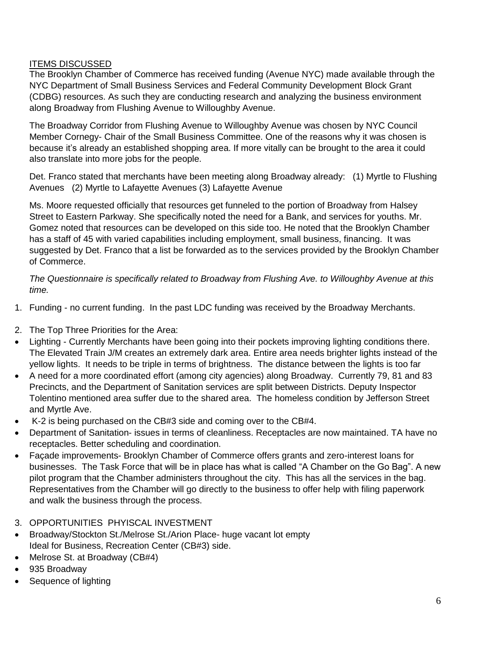# ITEMS DISCUSSED

The Brooklyn Chamber of Commerce has received funding (Avenue NYC) made available through the NYC Department of Small Business Services and Federal Community Development Block Grant (CDBG) resources. As such they are conducting research and analyzing the business environment along Broadway from Flushing Avenue to Willoughby Avenue.

The Broadway Corridor from Flushing Avenue to Willoughby Avenue was chosen by NYC Council Member Cornegy- Chair of the Small Business Committee. One of the reasons why it was chosen is because it's already an established shopping area. If more vitally can be brought to the area it could also translate into more jobs for the people.

Det. Franco stated that merchants have been meeting along Broadway already: (1) Myrtle to Flushing Avenues (2) Myrtle to Lafayette Avenues (3) Lafayette Avenue

Ms. Moore requested officially that resources get funneled to the portion of Broadway from Halsey Street to Eastern Parkway. She specifically noted the need for a Bank, and services for youths. Mr. Gomez noted that resources can be developed on this side too. He noted that the Brooklyn Chamber has a staff of 45 with varied capabilities including employment, small business, financing. It was suggested by Det. Franco that a list be forwarded as to the services provided by the Brooklyn Chamber of Commerce.

*The Questionnaire is specifically related to Broadway from Flushing Ave. to Willoughby Avenue at this time.*

- 1. Funding no current funding. In the past LDC funding was received by the Broadway Merchants.
- 2. The Top Three Priorities for the Area:
- Lighting Currently Merchants have been going into their pockets improving lighting conditions there. The Elevated Train J/M creates an extremely dark area. Entire area needs brighter lights instead of the yellow lights. It needs to be triple in terms of brightness. The distance between the lights is too far
- A need for a more coordinated effort (among city agencies) along Broadway. Currently 79, 81 and 83 Precincts, and the Department of Sanitation services are split between Districts. Deputy Inspector Tolentino mentioned area suffer due to the shared area. The homeless condition by Jefferson Street and Myrtle Ave.
- K-2 is being purchased on the CB#3 side and coming over to the CB#4.
- Department of Sanitation- issues in terms of cleanliness. Receptacles are now maintained. TA have no receptacles. Better scheduling and coordination.
- Façade improvements- Brooklyn Chamber of Commerce offers grants and zero-interest loans for businesses. The Task Force that will be in place has what is called "A Chamber on the Go Bag". A new pilot program that the Chamber administers throughout the city. This has all the services in the bag. Representatives from the Chamber will go directly to the business to offer help with filing paperwork and walk the business through the process.
- 3. OPPORTUNITIES PHYISCAL INVESTMENT
- Broadway/Stockton St./Melrose St./Arion Place- huge vacant lot empty Ideal for Business, Recreation Center (CB#3) side.
- Melrose St. at Broadway (CB#4)
- 935 Broadway
- Sequence of lighting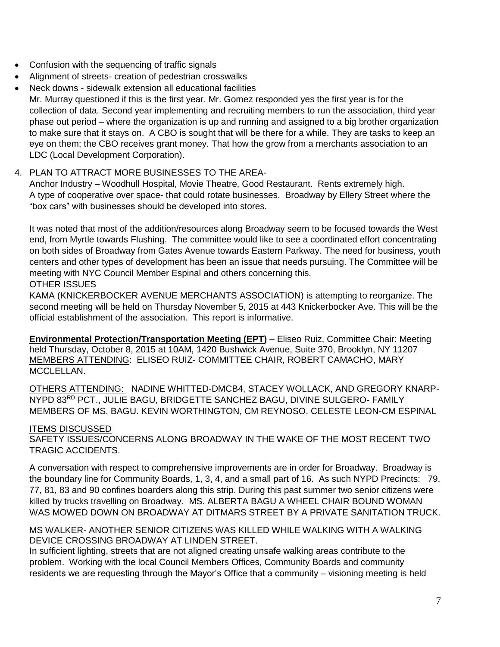- Confusion with the sequencing of traffic signals
- Alignment of streets- creation of pedestrian crosswalks
- Neck downs sidewalk extension all educational facilities

Mr. Murray questioned if this is the first year. Mr. Gomez responded yes the first year is for the collection of data. Second year implementing and recruiting members to run the association, third year phase out period – where the organization is up and running and assigned to a big brother organization to make sure that it stays on. A CBO is sought that will be there for a while. They are tasks to keep an eye on them; the CBO receives grant money. That how the grow from a merchants association to an LDC (Local Development Corporation).

### 4. PLAN TO ATTRACT MORE BUSINESSES TO THE AREA-

Anchor Industry – Woodhull Hospital, Movie Theatre, Good Restaurant. Rents extremely high. A type of cooperative over space- that could rotate businesses. Broadway by Ellery Street where the "box cars" with businesses should be developed into stores.

It was noted that most of the addition/resources along Broadway seem to be focused towards the West end, from Myrtle towards Flushing. The committee would like to see a coordinated effort concentrating on both sides of Broadway from Gates Avenue towards Eastern Parkway. The need for business, youth centers and other types of development has been an issue that needs pursuing. The Committee will be meeting with NYC Council Member Espinal and others concerning this. OTHER ISSUES

KAMA (KNICKERBOCKER AVENUE MERCHANTS ASSOCIATION) is attempting to reorganize. The second meeting will be held on Thursday November 5, 2015 at 443 Knickerbocker Ave. This will be the official establishment of the association. This report is informative.

**Environmental Protection/Transportation Meeting (EPT)** – Eliseo Ruiz, Committee Chair: Meeting held Thursday, October 8, 2015 at 10AM, 1420 Bushwick Avenue, Suite 370, Brooklyn, NY 11207 MEMBERS ATTENDING: ELISEO RUIZ- COMMITTEE CHAIR, ROBERT CAMACHO, MARY MCCLELLAN.

OTHERS ATTENDING: NADINE WHITTED-DMCB4, STACEY WOLLACK, AND GREGORY KNARP-NYPD 83RD PCT., JULIE BAGU, BRIDGETTE SANCHEZ BAGU, DIVINE SULGERO- FAMILY MEMBERS OF MS. BAGU. KEVIN WORTHINGTON, CM REYNOSO, CELESTE LEON-CM ESPINAL

#### ITEMS DISCUSSED

SAFETY ISSUES/CONCERNS ALONG BROADWAY IN THE WAKE OF THE MOST RECENT TWO TRAGIC ACCIDENTS.

A conversation with respect to comprehensive improvements are in order for Broadway. Broadway is the boundary line for Community Boards, 1, 3, 4, and a small part of 16. As such NYPD Precincts: 79, 77, 81, 83 and 90 confines boarders along this strip. During this past summer two senior citizens were killed by trucks travelling on Broadway. MS. ALBERTA BAGU A WHEEL CHAIR BOUND WOMAN WAS MOWED DOWN ON BROADWAY AT DITMARS STREET BY A PRIVATE SANITATION TRUCK.

MS WALKER- ANOTHER SENIOR CITIZENS WAS KILLED WHILE WALKING WITH A WALKING DEVICE CROSSING BROADWAY AT LINDEN STREET.

In sufficient lighting, streets that are not aligned creating unsafe walking areas contribute to the problem. Working with the local Council Members Offices, Community Boards and community residents we are requesting through the Mayor's Office that a community – visioning meeting is held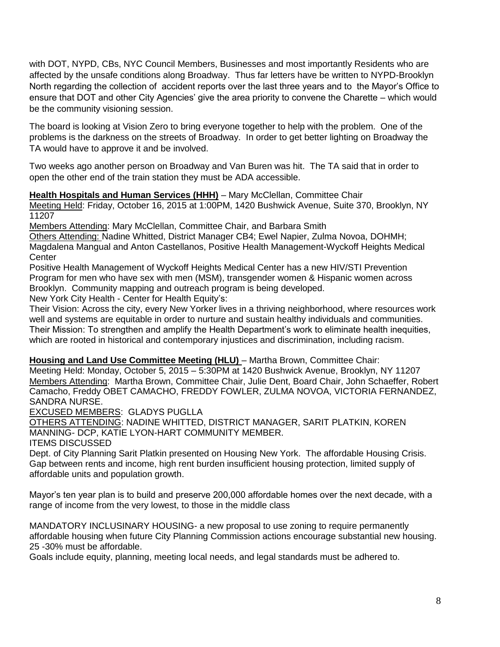with DOT, NYPD, CBs, NYC Council Members, Businesses and most importantly Residents who are affected by the unsafe conditions along Broadway. Thus far letters have be written to NYPD-Brooklyn North regarding the collection of accident reports over the last three years and to the Mayor's Office to ensure that DOT and other City Agencies' give the area priority to convene the Charette – which would be the community visioning session.

The board is looking at Vision Zero to bring everyone together to help with the problem. One of the problems is the darkness on the streets of Broadway. In order to get better lighting on Broadway the TA would have to approve it and be involved.

Two weeks ago another person on Broadway and Van Buren was hit. The TA said that in order to open the other end of the train station they must be ADA accessible.

**Health Hospitals and Human Services (HHH)** – Mary McClellan, Committee Chair Meeting Held: Friday, October 16, 2015 at 1:00PM, 1420 Bushwick Avenue, Suite 370, Brooklyn, NY 11207

Members Attending: Mary McClellan, Committee Chair, and Barbara Smith

Others Attending: Nadine Whitted, District Manager CB4; Ewel Napier, Zulma Novoa, DOHMH; Magdalena Mangual and Anton Castellanos, Positive Health Management-Wyckoff Heights Medical **Center** 

Positive Health Management of Wyckoff Heights Medical Center has a new HIV/STI Prevention Program for men who have sex with men (MSM), transgender women & Hispanic women across Brooklyn. Community mapping and outreach program is being developed.

New York City Health - Center for Health Equity's:

Their Vision: Across the city, every New Yorker lives in a thriving neighborhood, where resources work well and systems are equitable in order to nurture and sustain healthy individuals and communities. Their Mission: To strengthen and amplify the Health Department's work to eliminate health inequities, which are rooted in historical and contemporary injustices and discrimination, including racism.

**Housing and Land Use Committee Meeting (HLU)** – Martha Brown, Committee Chair:

Meeting Held: Monday, October 5, 2015 – 5:30PM at 1420 Bushwick Avenue, Brooklyn, NY 11207 Members Attending: Martha Brown, Committee Chair, Julie Dent, Board Chair, John Schaeffer, Robert Camacho, Freddy OBET CAMACHO, FREDDY FOWLER, ZULMA NOVOA, VICTORIA FERNANDEZ, SANDRA NURSE.

EXCUSED MEMBERS: GLADYS PUGLLA

OTHERS ATTENDING: NADINE WHITTED, DISTRICT MANAGER, SARIT PLATKIN, KOREN MANNING- DCP, KATIE LYON-HART COMMUNITY MEMBER.

ITEMS DISCUSSED

Dept. of City Planning Sarit Platkin presented on Housing New York. The affordable Housing Crisis. Gap between rents and income, high rent burden insufficient housing protection, limited supply of affordable units and population growth.

Mayor's ten year plan is to build and preserve 200,000 affordable homes over the next decade, with a range of income from the very lowest, to those in the middle class

MANDATORY INCLUSINARY HOUSING- a new proposal to use zoning to require permanently affordable housing when future City Planning Commission actions encourage substantial new housing. 25 -30% must be affordable.

Goals include equity, planning, meeting local needs, and legal standards must be adhered to.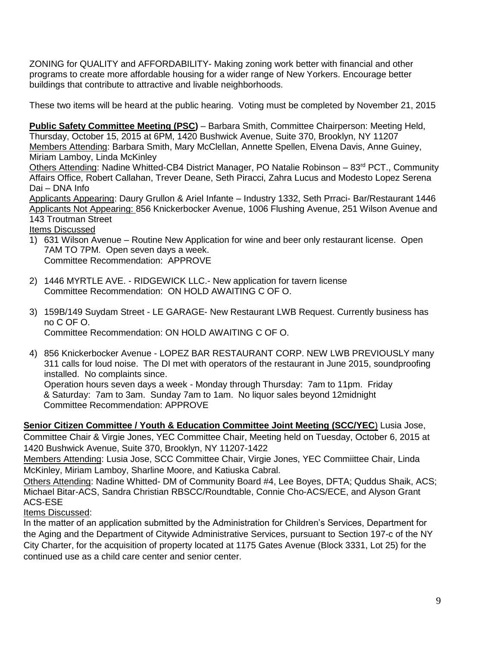ZONING for QUALITY and AFFORDABILITY- Making zoning work better with financial and other programs to create more affordable housing for a wider range of New Yorkers. Encourage better buildings that contribute to attractive and livable neighborhoods.

These two items will be heard at the public hearing. Voting must be completed by November 21, 2015

**Public Safety Committee Meeting (PSC)** – Barbara Smith, Committee Chairperson: Meeting Held, Thursday, October 15, 2015 at 6PM, 1420 Bushwick Avenue, Suite 370, Brooklyn, NY 11207 Members Attending: Barbara Smith, Mary McClellan, Annette Spellen, Elvena Davis, Anne Guiney, Miriam Lamboy, Linda McKinley

Others Attending: Nadine Whitted-CB4 District Manager, PO Natalie Robinson – 83<sup>rd</sup> PCT., Community Affairs Office, Robert Callahan, Trever Deane, Seth Piracci, Zahra Lucus and Modesto Lopez Serena Dai – DNA Info

Applicants Appearing: Daury Grullon & Ariel Infante – Industry 1332, Seth Prraci- Bar/Restaurant 1446 Applicants Not Appearing: 856 Knickerbocker Avenue, 1006 Flushing Avenue, 251 Wilson Avenue and 143 Troutman Street

Items Discussed

- 1) 631 Wilson Avenue Routine New Application for wine and beer only restaurant license. Open 7AM TO 7PM. Open seven days a week. Committee Recommendation: APPROVE
- 2) 1446 MYRTLE AVE. RIDGEWICK LLC.- New application for tavern license Committee Recommendation: ON HOLD AWAITING C OF O.
- 3) 159B/149 Suydam Street LE GARAGE- New Restaurant LWB Request. Currently business has no C OF O. Committee Recommendation: ON HOLD AWAITING C OF O.
- 4) 856 Knickerbocker Avenue LOPEZ BAR RESTAURANT CORP. NEW LWB PREVIOUSLY many 311 calls for loud noise. The DI met with operators of the restaurant in June 2015, soundproofing installed. No complaints since. Operation hours seven days a week - Monday through Thursday: 7am to 11pm. Friday & Saturday: 7am to 3am. Sunday 7am to 1am. No liquor sales beyond 12midnight Committee Recommendation: APPROVE

**Senior Citizen Committee / Youth & Education Committee Joint Meeting (SCC/YEC)** Lusia Jose, Committee Chair & Virgie Jones, YEC Committee Chair, Meeting held on Tuesday, October 6, 2015 at 1420 Bushwick Avenue, Suite 370, Brooklyn, NY 11207-1422

Members Attending: Lusia Jose, SCC Committee Chair, Virgie Jones, YEC Commiittee Chair, Linda McKinley, Miriam Lamboy, Sharline Moore, and Katiuska Cabral.

Others Attending: Nadine Whitted- DM of Community Board #4, Lee Boyes, DFTA; Quddus Shaik, ACS; Michael Bitar-ACS, Sandra Christian RBSCC/Roundtable, Connie Cho-ACS/ECE, and Alyson Grant ACS-ESE

Items Discussed:

In the matter of an application submitted by the Administration for Children's Services, Department for the Aging and the Department of Citywide Administrative Services, pursuant to Section 197-c of the NY City Charter, for the acquisition of property located at 1175 Gates Avenue (Block 3331, Lot 25) for the continued use as a child care center and senior center.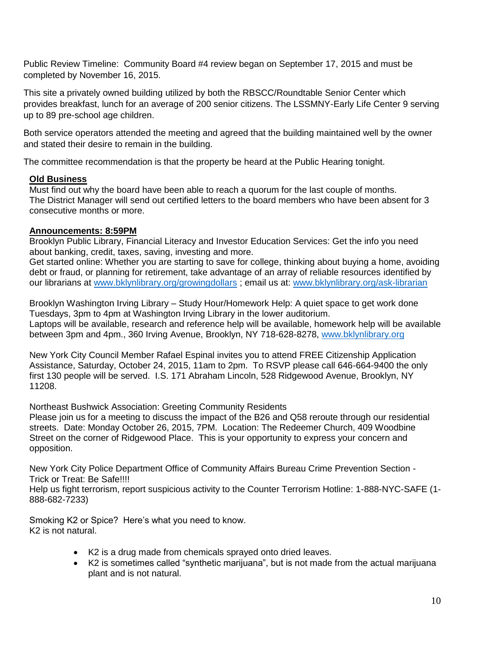Public Review Timeline: Community Board #4 review began on September 17, 2015 and must be completed by November 16, 2015.

This site a privately owned building utilized by both the RBSCC/Roundtable Senior Center which provides breakfast, lunch for an average of 200 senior citizens. The LSSMNY-Early Life Center 9 serving up to 89 pre-school age children.

Both service operators attended the meeting and agreed that the building maintained well by the owner and stated their desire to remain in the building.

The committee recommendation is that the property be heard at the Public Hearing tonight.

# **Old Business**

Must find out why the board have been able to reach a quorum for the last couple of months. The District Manager will send out certified letters to the board members who have been absent for 3 consecutive months or more.

# **Announcements: 8:59PM**

Brooklyn Public Library, Financial Literacy and Investor Education Services: Get the info you need about banking, credit, taxes, saving, investing and more.

Get started online: Whether you are starting to save for college, thinking about buying a home, avoiding debt or fraud, or planning for retirement, take advantage of an array of reliable resources identified by our librarians at [www.bklynlibrary.org/growingdollars](http://www.bklynlibrary.org/growingdollars); email us at: www.bklynlibrary.org/ask-librarian

Brooklyn Washington Irving Library – Study Hour/Homework Help: A quiet space to get work done Tuesdays, 3pm to 4pm at Washington Irving Library in the lower auditorium. Laptops will be available, research and reference help will be available, homework help will be available between 3pm and 4pm., 360 Irving Avenue, Brooklyn, NY 718-628-8278, [www.bklynlibrary.org](http://www.bklynlibrary.org/)

New York City Council Member Rafael Espinal invites you to attend FREE Citizenship Application Assistance, Saturday, October 24, 2015, 11am to 2pm. To RSVP please call 646-664-9400 the only first 130 people will be served. I.S. 171 Abraham Lincoln, 528 Ridgewood Avenue, Brooklyn, NY 11208.

Northeast Bushwick Association: Greeting Community Residents

Please join us for a meeting to discuss the impact of the B26 and Q58 reroute through our residential streets. Date: Monday October 26, 2015, 7PM. Location: The Redeemer Church, 409 Woodbine Street on the corner of Ridgewood Place. This is your opportunity to express your concern and opposition.

New York City Police Department Office of Community Affairs Bureau Crime Prevention Section - Trick or Treat: Be Safe!!!!

Help us fight terrorism, report suspicious activity to the Counter Terrorism Hotline: 1-888-NYC-SAFE (1- 888-682-7233)

Smoking K2 or Spice? Here's what you need to know. K2 is not natural.

- K2 is a drug made from chemicals sprayed onto dried leaves.
- K2 is sometimes called "synthetic marijuana", but is not made from the actual marijuana plant and is not natural.